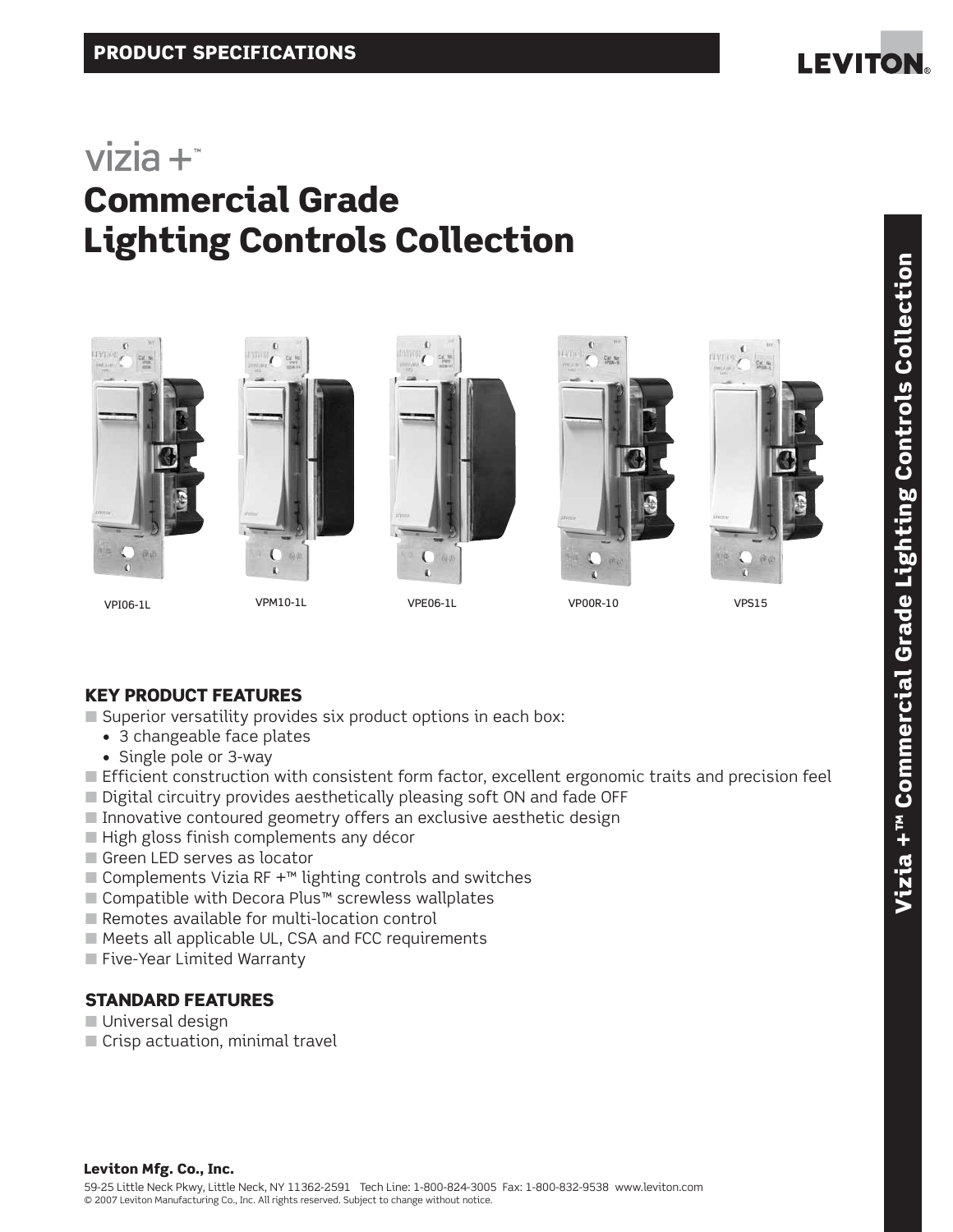

# $vizia +<sup>*</sup>$ Commercial Grade Lighting Controls Collection













### KEY PRODUCT FEATURES

 $\blacksquare$  Superior versatility provides six product options in each box:

- 3 changeable face plates
- Single pole or 3-way
- Efficient construction with consistent form factor, excellent ergonomic traits and precision feel
- Digital circuitry provides aesthetically pleasing soft ON and fade OFF
- Innovative contoured geometry offers an exclusive aesthetic design
- High gloss finish complements any décor
- Green LED serves as locator
- Complements Vizia RF  $+<sup>m</sup>$  lighting controls and switches
- Compatible with Decora Plus™ screwless wallplates
- Remotes available for multi-location control
- Meets all applicable UL, CSA and FCC requirements
- Five-Year Limited Warranty

### STANDARD FEATURES

- Universal design
- Crisp actuation, minimal travel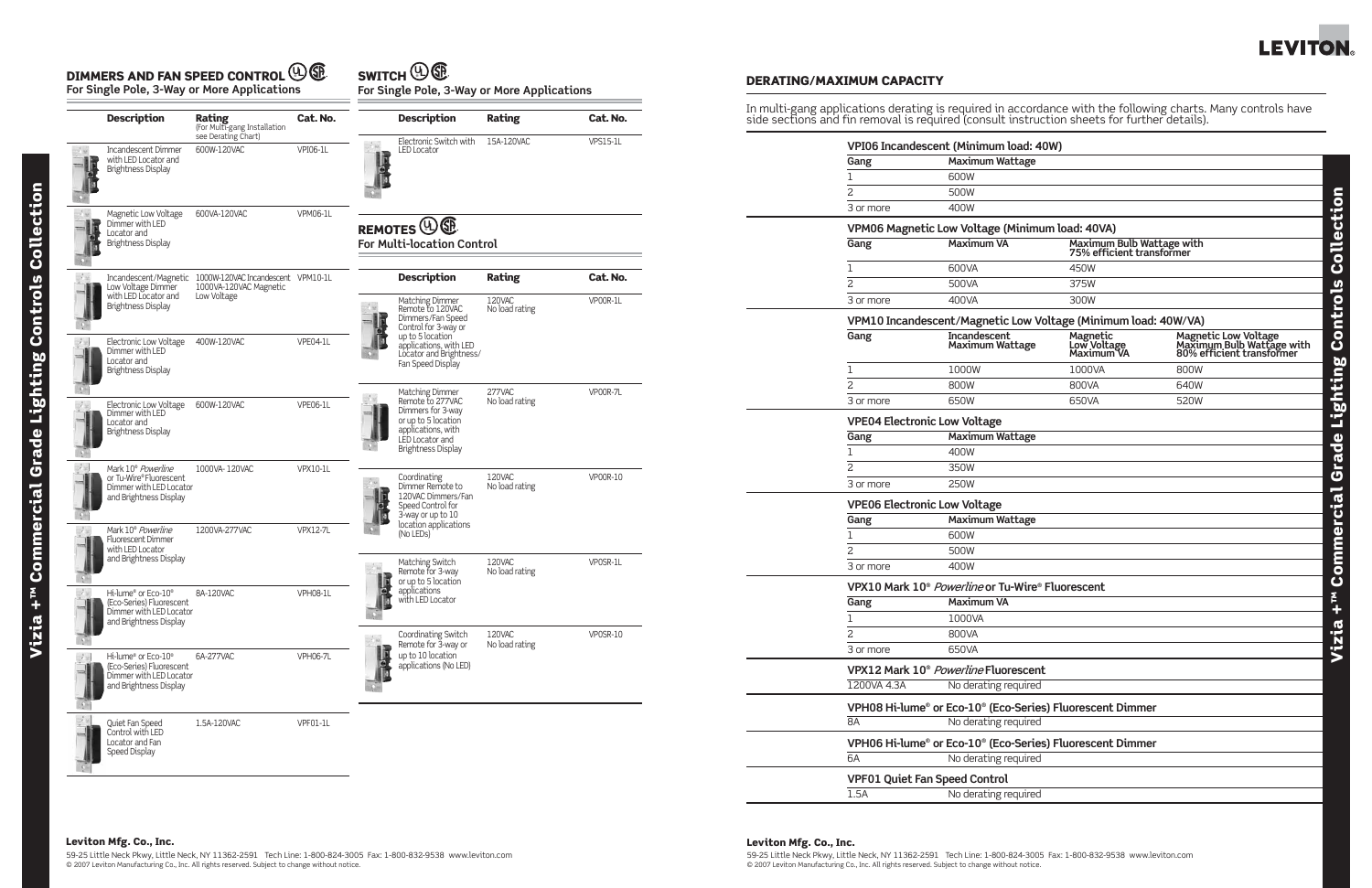#### Leviton Mfg. Co., Inc.

59-25 Little Neck Pkwy, Little Neck, NY 11362-2591 Tech Line: 1-800-824-3005 Fax: 1-800-832-9538 www.leviton.com © 2007 Leviton Manufacturing Co., Inc. All rights reserved. Subject to change without notice.



## Leviton Mfg. Co., Inc. 59-25 Little Neck Pkwy, Little Neck, NY 11362-2591 Tech Line: 1-800-824-3005 Fax: 1-800-832-9538 www.leviton.com © 2007 Leviton Manufacturing Co., Inc. All rights reserved. Subject to change without notice.

| <b>Description</b>                                                                                            | <b>Rating</b><br>(For Multi-gang Installation<br>see Derating Chart)               | Cat. No.        |                                                                          | <b>Description</b>                                                                                                                                    | Rating                   | Cat. No.        |  |
|---------------------------------------------------------------------------------------------------------------|------------------------------------------------------------------------------------|-----------------|--------------------------------------------------------------------------|-------------------------------------------------------------------------------------------------------------------------------------------------------|--------------------------|-----------------|--|
| Incandescent Dimmer<br>with LED Locator and<br><b>Brightness Display</b>                                      | 600W-120VAC                                                                        | <b>VPI06-1L</b> |                                                                          | Electronic Switch with<br><b>LED Locator</b>                                                                                                          | 15A-120VAC               | <b>VPS15-1L</b> |  |
| Magnetic Low Voltage<br>Dimmer with LED<br>Locator and<br><b>Brightness Display</b>                           | 600VA-120VAC                                                                       | <b>VPM06-1L</b> | REMOTES <sup>(U)</sup> <sup>C</sup><br><b>For Multi-location Control</b> |                                                                                                                                                       |                          |                 |  |
| Low Voltage Dimmer                                                                                            | Incandescent/Magnetic 1000W-120VAC Incandescent VPM10-1L<br>1000VA-120VAC Magnetic |                 |                                                                          | <b>Description</b>                                                                                                                                    | Rating                   | Cat. No.        |  |
| with LED Locator and<br><b>Brightness Display</b>                                                             | Low Voltage                                                                        |                 |                                                                          | Matching Dimmer<br>Remote to 120VAC<br>Dimmers/Fan Speed<br>Control for 3-way or                                                                      | 120VAC<br>No load rating | VP00R-1L        |  |
| Electronic Low Voltage<br>Dimmer with LED<br>Locator and<br><b>Brightness Display</b>                         | 400W-120VAC                                                                        | VPE04-1L        |                                                                          | up to 5 location<br>applications, with LED<br>Locator and Brightness/<br>Fan Speed Display                                                            |                          |                 |  |
| Electronic Low Voltage<br>Dimmer with LED<br>Locator and<br><b>Brightness Display</b>                         | 600W-120VAC                                                                        | VPE06-1L        |                                                                          | Matching Dimmer<br>Remote to 277VAC<br>Dimmers for 3-way<br>or up to 5 location<br>applications, with<br>LED Locator and<br><b>Brightness Display</b> | 277VAC<br>No load rating | VP00R-7L        |  |
| Mark 10 <sup>®</sup> Powerline<br>or Tu-Wire®Fluorescent<br>Dimmer with LED Locator<br>and Brightness Display | 1000VA-120VAC                                                                      | <b>VPX10-1L</b> |                                                                          | Coordinating<br>Dimmer Remote to<br>120VAC Dimmers/Fan<br>Speed Control for<br>3-way or up to 10                                                      | 120VAC<br>No load rating | <b>VP00R-10</b> |  |
| Mark 10 <sup>®</sup> Powerline<br><b>Fluorescent Dimmer</b><br>with LED Locator                               | 1200VA-277VAC                                                                      | <b>VPX12-7L</b> |                                                                          | location applications<br>(No LEDs)                                                                                                                    |                          |                 |  |
| and Brightness Display                                                                                        |                                                                                    |                 |                                                                          | Matching Switch<br>Remote for 3-way<br>or up to 5 location                                                                                            | 120VAC<br>No load rating | VP0SR-1L        |  |
| Hi-lume® or Eco-10®<br>(Eco-Series) Fluorescent<br>Dimmer with LED Locator<br>and Brightness Display          | 8A-120VAC                                                                          | <b>VPH08-1L</b> |                                                                          | applications<br>with LED Locator                                                                                                                      |                          |                 |  |
|                                                                                                               |                                                                                    |                 |                                                                          | Coordinating Switch<br>Remote for 3-way or<br>up to 10 location                                                                                       | 120VAC<br>No load rating | $VPOSR-10$      |  |
| Hi-lume® or Eco-10®<br>(Eco-Series) Fluorescent<br>Dimmer with LED Locator<br>and Brightness Display          | 6A-277VAC                                                                          | <b>VPH06-7L</b> |                                                                          | applications (No LED)                                                                                                                                 |                          |                 |  |
| Quiet Fan Speed<br>Control with LED<br>Locator and Fan<br>Speed Display                                       | 1.5A-120VAC                                                                        | VPF01-1L        |                                                                          |                                                                                                                                                       |                          |                 |  |

**For Single Pole, 3-Way or More Applications**

**For Single Pole, 3-Way or More Applications**

# $\Psi$  **SWITCH**  $\Psi$

|                | VPI06 Incandescent (Minimum load: 40W)                         |                                                        |                                                                                |  |  |  |  |  |
|----------------|----------------------------------------------------------------|--------------------------------------------------------|--------------------------------------------------------------------------------|--|--|--|--|--|
| Gang           | <b>Maximum Wattage</b>                                         |                                                        |                                                                                |  |  |  |  |  |
| 1              | 600W                                                           |                                                        |                                                                                |  |  |  |  |  |
| 2              | 500W                                                           |                                                        |                                                                                |  |  |  |  |  |
| 3 or more      | 400W                                                           |                                                        |                                                                                |  |  |  |  |  |
|                | VPM06 Magnetic Low Voltage (Minimum load: 40VA)                |                                                        |                                                                                |  |  |  |  |  |
| Gang           | <b>Maximum VA</b>                                              | Maximum Bulb Wattage with<br>75% efficient transformer |                                                                                |  |  |  |  |  |
| 1              | 600VA                                                          | 450W                                                   |                                                                                |  |  |  |  |  |
| $\overline{2}$ | 500VA                                                          | 375W                                                   |                                                                                |  |  |  |  |  |
| 3 or more      | 400VA                                                          | 300W                                                   |                                                                                |  |  |  |  |  |
|                | VPM10 Incandescent/Magnetic Low Voltage (Minimum load: 40W/VA) |                                                        |                                                                                |  |  |  |  |  |
| Gang           | <b>Incandescent</b><br><b>Maximum Wattage</b>                  | Magnetic<br>Low Voltage<br>Maximum VA                  | Magnetic Low Voltage<br>Maximum Bulb Wattage with<br>80% efficient transformer |  |  |  |  |  |
| 1              | 1000W                                                          | 1000VA                                                 | 800W                                                                           |  |  |  |  |  |
| $\overline{c}$ | 800W                                                           | 800VA                                                  | 640W                                                                           |  |  |  |  |  |
| 3 or more      | 650W                                                           | 650VA                                                  | 520W                                                                           |  |  |  |  |  |
|                | <b>VPE04 Electronic Low Voltage</b>                            |                                                        |                                                                                |  |  |  |  |  |
| Gang           | <b>Maximum Wattage</b>                                         |                                                        |                                                                                |  |  |  |  |  |
| 1              | 400W                                                           |                                                        |                                                                                |  |  |  |  |  |
| 2              | 350W                                                           |                                                        |                                                                                |  |  |  |  |  |
| 3 or more      | 250W                                                           |                                                        |                                                                                |  |  |  |  |  |
|                | <b>VPE06 Electronic Low Voltage</b>                            |                                                        |                                                                                |  |  |  |  |  |
| Gang           | <b>Maximum Wattage</b>                                         |                                                        |                                                                                |  |  |  |  |  |
| 1              | 600W                                                           |                                                        |                                                                                |  |  |  |  |  |
| 2              | 500W                                                           |                                                        |                                                                                |  |  |  |  |  |
| 3 or more      | 400W                                                           |                                                        |                                                                                |  |  |  |  |  |
|                | VPX10 Mark 10 <sup>®</sup> Powerline or Tu-Wire® Fluorescent   |                                                        |                                                                                |  |  |  |  |  |
| Gang           | <b>Maximum VA</b>                                              |                                                        |                                                                                |  |  |  |  |  |
| 1              | 1000VA                                                         |                                                        |                                                                                |  |  |  |  |  |
| $\mathcal{L}$  | 800VA                                                          |                                                        |                                                                                |  |  |  |  |  |
| 3 or more      | 650VA                                                          |                                                        |                                                                                |  |  |  |  |  |
|                | VPX12 Mark 10 <sup>®</sup> Powerline Fluorescent               |                                                        |                                                                                |  |  |  |  |  |
| 1200VA 4.3A    | No derating required                                           |                                                        |                                                                                |  |  |  |  |  |
|                | VPH08 Hi-lume® or Eco-10® (Eco-Series) Fluorescent Dimmer      |                                                        |                                                                                |  |  |  |  |  |
| 8A             | No derating required                                           |                                                        |                                                                                |  |  |  |  |  |
|                | VPH06 Hi-lume® or Eco-10® (Eco-Series) Fluorescent Dimmer      |                                                        |                                                                                |  |  |  |  |  |
| 6A             | No derating required                                           |                                                        |                                                                                |  |  |  |  |  |
|                | <b>VPF01 Quiet Fan Speed Control</b>                           |                                                        |                                                                                |  |  |  |  |  |
| 1.5A           | No derating required                                           |                                                        |                                                                                |  |  |  |  |  |

#### DERATING/MAXIMUM CAPACITY

# In multi-gang applications derating is required in accordance with the following charts. Many controls have

side sections and fin removal is required (consult instruction sheets for further details).

#### DIMMERS AND FAN SPEED CONTROL **U**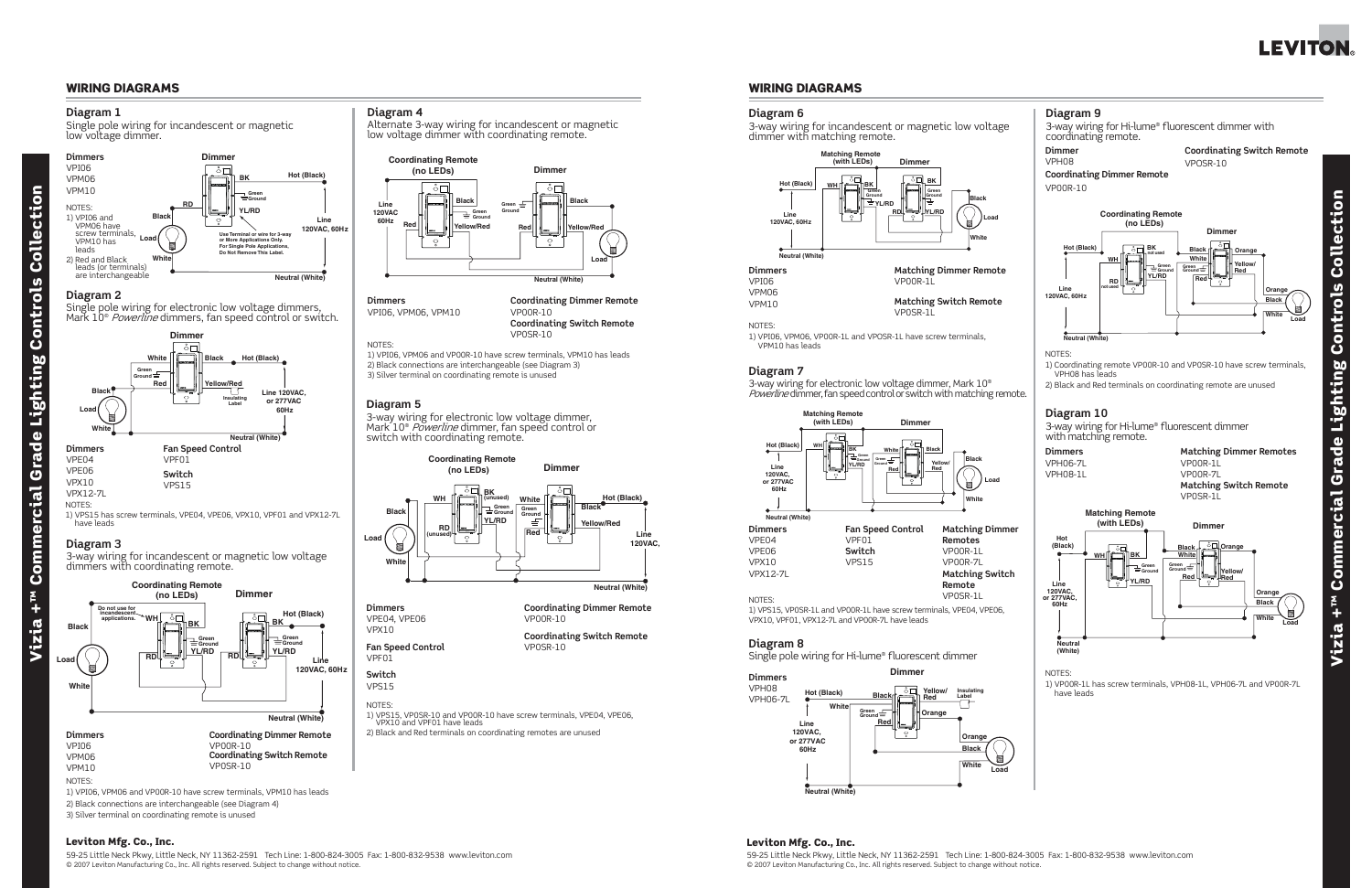#### Leviton Mfg. Co., Inc.

Vizia +™ Commercial Grade Lighting Controls Collection Controls Lighting Grade Commercial  $rac{1}{2}$ Vizia

ction

 $\mathbf{\bar{d}}$ 

Coll

59-25 Little Neck Pkwy, Little Neck, NY 11362-2591 Tech Line: 1-800-824-3005 Fax: 1-800-832-9538 www.leviton.com © 2007 Leviton Manufacturing Co., Inc. All rights reserved. Subject to change without notice.

#### Leviton Mfg. Co., Inc.

59-25 Little Neck Pkwy, Little Neck, NY 11362-2591 Tech Line: 1-800-824-3005 Fax: 1-800-832-9538 www.leviton.com © 2007 Leviton Manufacturing Co., Inc. All rights reserved. Subject to change without notice.

**Diagram 4**

Alternate 3-way wiring for incandescent or magnetic low voltage dimmer with coordinating remote.

Single pole wiring for incandescent or magnetic low voltage dimmer.

#### **Diagram 3**

3-way wiring for incandescent or magnetic low voltage dimmers with coordinating remote.



NOTES:

1) VPI06, VPM06 and VP00R-10 have screw terminals, VPM10 has leads 2) Black connections are interchangeable (see Diagram 4) 3) Silver terminal on coordinating remote is unused

#### WIRING DIAGRAMS

#### **Diagram 1**



#### **Diagram 2**

Single pole wiring for electronic low voltage dimmers, Mark 10® *Powerline* dimmers, fan speed control or switch.





#### **Dimmers**  VPI06, VPM06, VPM10

**Coordinating Dimmer Remote** VP00R-10 **Coordinating Switch Remote**

#### **NOTES:**

VP0SR-10

1) VPI06, VPM06 and VP00R-10 have screw terminals, VPM10 has leads 2) Black connections are interchangeable (see Diagram 3) 3) Silver terminal on coordinating remote is unused

#### **Diagram 5**

3-way wiring for electronic low voltage dimmer, Mark 10® *Powerline* dimmer, fan speed control or switch with coordinating remote.



## **Dimmers**

#### VPE04, VPE06 VPX10 **Fan Speed Control**



VPF01

## **Switch**

VPS15

**Coordinating Dimmer Remote**

VP00R-10

**Coordinating Switch Remote** VP0SR-10

#### NOTES:

1) VPS15, VP0SR-10 and VP00R-10 have screw terminals, VPE04, VPE06, VPX10 and VPF01 have leads

2) Black and Red terminals on coordinating remotes are unused



VPM10 has leads





#### WIRING DIAGRAMS



NOTES:

1) VPS15 has screw terminals, VPE04, VPE06, VPX10, VPF01 and VPX12-7L have leads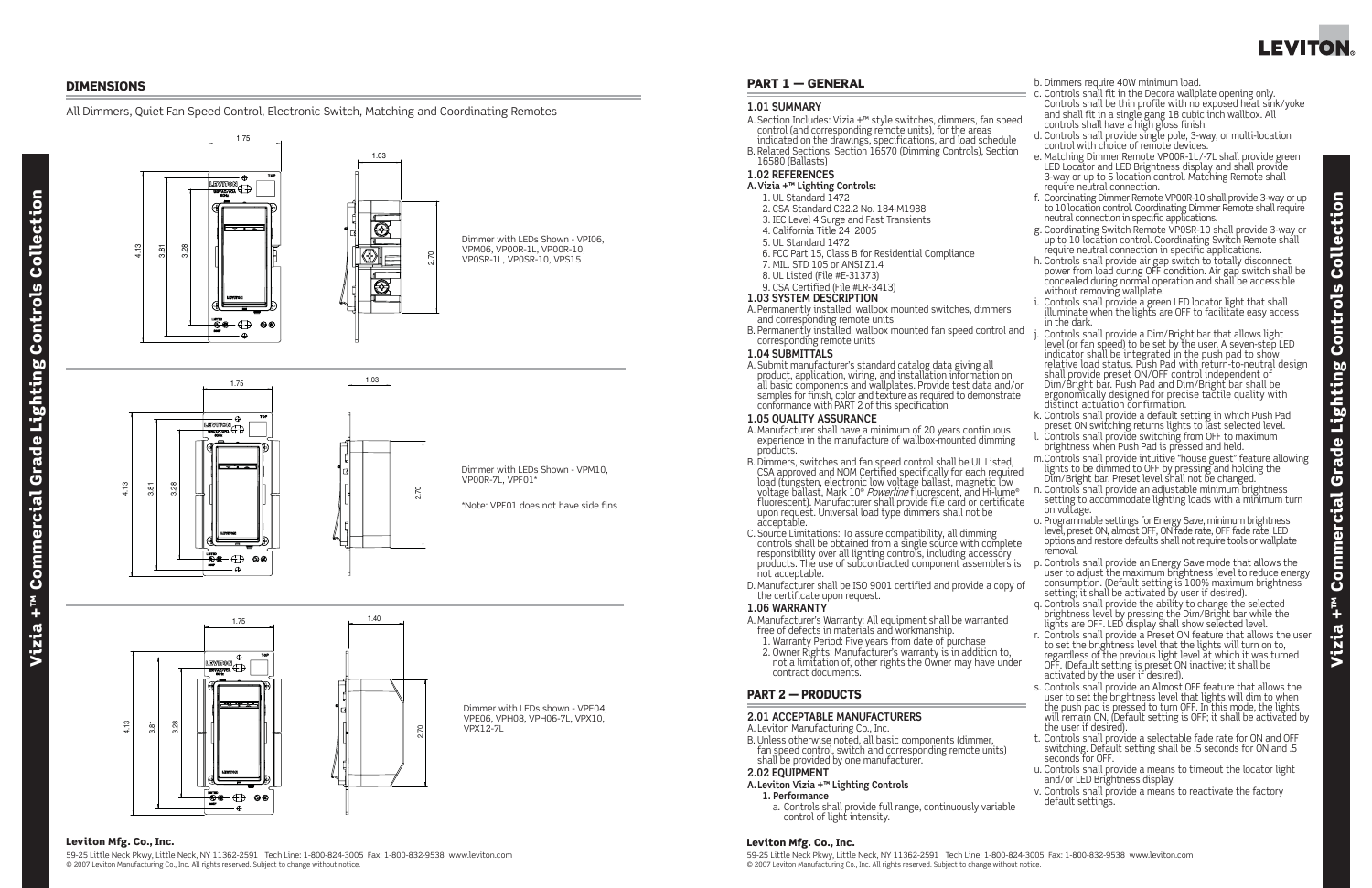#### Leviton Mfg. Co., Inc.

59-25 Little Neck Pkwy, Little Neck, NY 11362-2591 Tech Line: 1-800-824-3005 Fax: 1-800-832-9538 www.leviton.com © 2007 Leviton Manufacturing Co., Inc. All rights reserved. Subject to change without notice.

# Collection Vizia +™ Commercial Grade Lighting Controls Collection Controls Lighting **Grade Commercial**  $\mathbf{r}$ <sub>w</sub> +  $\mathbf{e}$ izi  $\overline{\phantom{1}}$

### Leviton Mfg. Co., Inc.

59-25 Little Neck Pkwy, Little Neck, NY 11362-2591 Tech Line: 1-800-824-3005 Fax: 1-800-832-9538 www.leviton.com © 2007 Leviton Manufacturing Co., Inc. All rights reserved. Subject to change without notice.



#### DIMENSIONS

#### All Dimmers, Quiet Fan Speed Control, Electronic Switch, Matching and Coordinating Remotes



### PART 1 — GENERAL

#### **1.01 SUMMARY**

A. Section Includes: Vizia +™ style switches, dimmers, fan speed control (and corresponding remote units), for the areas indicated on the drawings, specifications, and load schedule B. Related Sections: Section 16570 (Dimming Controls), Section 16580 (Ballasts)

#### **1.02 REFERENCES**

- **A. Vizia +™ Lighting Controls:**
- 1. UL Standard 1472
- 2. CSA Standard C22.2 No. 184-M1988
- 3. IEC Level 4 Surge and Fast Transients
- 4. California Title 24 2005
- 5. UL Standard 1472
- 6. FCC Part 15, Class B for Residential Compliance
- 7. MIL. STD 105 or ANSI Z1.4
- 8. UL Listed (File #E-31373)
- 9. CSA Certified (File #LR-3413)

- A. Manufacturer's Warranty: All equipment shall be warranted free of defects in materials and workmanship.
	- 1. Warranty Period: Five years from date of purchase
	- 2. Owner Rights: Manufacturer's warranty is in addition to, not a limitation of, other rights the Owner may have under contract documents.

#### **1.03 SYSTEM DESCRIPTION**

- A. Permanently installed, wallbox mounted switches, dimmers and corresponding remote units
- B. Permanently installed, wallbox mounted fan speed control ar corresponding remote units

B. Unless otherwise noted, all basic components (dimmer, fan speed control, switch and corresponding remote units) shall be provided by one manufacturer.

#### **1.04 SUBMITTALS**

A. Submit manufacturer's standard catalog data giving all product, application, wiring, and installation information on all basic components and wallplates. Provide test data and/or samples for finish, color and texture as required to demonstrate conformance with PART 2 of this specification.

#### **1.05 QUALITY ASSURANCE**

- A. Manufacturer shall have a minimum of 20 years continuous experience in the manufacture of wallbox-mounted dimming products.
- B. Dimmers, switches and fan speed control shall be UL Listed, CSA approved and NOM Certified specifically for each required load (tungsten, electronic low voltage ballast, magnetic low voltage ballast, Mark 10® *Powerline* fluorescent, and Hi-lume® fluorescent). Manufacturer shall provide file card or certificate upon request. Universal load type dimmers shall not be acceptable.
- C. Source Limitations: To assure compatibility, all dimming controls shall be obtained from a single source with complete responsibility over all lighting controls, including accessory products. The use of subcontracted component assemblers is not acceptable.
- D. Manufacturer shall be ISO 9001 certified and provide a copy the certificate upon request.

#### **1.06 WARRANTY**

## PART 2 — PRODUCTS

#### **2.01 ACCEPTABLE MANUFACTURERS**

A. Leviton Manufacturing Co., Inc.

#### **2.02 EQUIPMENT**

- **A. Leviton Vizia +™ Lighting Controls**
	- **1. Performance**
	- a. Controls shall provide full range, continuously variable control of light intensity.

b. Dimmers require 40W minimum load.

|     | c. Controls shall fit in the Decora wallplate opening only.                                                                        |  |
|-----|------------------------------------------------------------------------------------------------------------------------------------|--|
|     | Controls shall be thin profile with no exposed heat sink/yoke                                                                      |  |
| эd  | and shall fit in a single gang 18 cubic inch wallbox. All<br>controls shall have a high gloss finish.                              |  |
|     | d. Controls shall provide single pole, 3-way, or multi-location                                                                    |  |
| n   | control with choice of remote devices.                                                                                             |  |
|     | e. Matching Dimmer Remote VP00R-1L/-7L shall provide green                                                                         |  |
|     | LED Locator and LED Brightness display and shall provide                                                                           |  |
|     | 3-way or up to 5 location control. Matching Remote shall<br>require neutral connection.                                            |  |
|     | f. Coordinating Dimmer Remote VP00R-10 shall provide 3-way or up                                                                   |  |
|     | to 10 location control. Coordinating Dimmer Remote shall require                                                                   |  |
|     | neutral connection in specific applications.                                                                                       |  |
|     | g. Coordinating Switch Remote VP0SR-10 shall provide 3-way or                                                                      |  |
|     | up to 10 location control. Coordinating Switch Remote shall<br>require neutral connection in specific applications.                |  |
|     | h. Controls shall provide air gap switch to totally disconnect                                                                     |  |
|     | power from load during OFF condition. Air gap switch shall be                                                                      |  |
|     | concealed during normal operation and shall be accessible                                                                          |  |
|     | without removing wallplate.                                                                                                        |  |
|     | i. Controls shall provide a green LED locator light that shall                                                                     |  |
|     | illuminate when the lights are OFF to facilitate easy access<br>in the dark.                                                       |  |
| nd  | j. Controls shall provide a Dim/Bright bar that allows light                                                                       |  |
|     | level (or fan speed) to be set by the user. A seven-step LED                                                                       |  |
|     | indicator shall be integrated in the push pad to show                                                                              |  |
|     | relative load status. Push Pad with return-to-neutral design                                                                       |  |
|     | shall provide preset ON/OFF control independent of<br>Dim/Bright bar. Push Pad and Dim/Bright bar shall be                         |  |
| or  | ergonomically designed for precise tactile quality with                                                                            |  |
| ιе  | distinct actuation confirmation.                                                                                                   |  |
|     | k. Controls shall provide a default setting in which Push Pad                                                                      |  |
|     | preset ON switching returns lights to last selected level.                                                                         |  |
|     | l. Controls shall provide switching from OFF to maximum                                                                            |  |
|     | brightness when Push Pad is pressed and held.<br>m. Controls shall provide intuitive "house guest" feature allowing                |  |
|     | lights to be dimmed to OFF by pressing and holding the                                                                             |  |
| ed  | Dim/Bright bar. Preset level shall not be changed.                                                                                 |  |
| )®  | n. Controls shall provide an adjustable minimum brightness                                                                         |  |
| ite | setting to accommodate lighting loads with a minimum turn                                                                          |  |
|     | on voltage.<br>o. Programmable settings for Energy Save, minimum brightness                                                        |  |
|     | level, preset ON, almost OFF, ON fade rate, OFF fade rate, LED                                                                     |  |
| te  | options and restore defaults shall not require tools or wallplate                                                                  |  |
|     | removal.                                                                                                                           |  |
| is  | p. Controls shall provide an Energy Save mode that allows the                                                                      |  |
|     | user to adjust the maximum brightness level to reduce energy<br>consumption. (Default setting is 100% maximum brightness           |  |
| оf  | setting; it shall be activated by user if desired).                                                                                |  |
|     | q. Controls shall provide the ability to change the selected                                                                       |  |
|     | brightness level by pressing the Dim/Bright bar while the                                                                          |  |
|     | lights are OFF. LED display shall show selected level.                                                                             |  |
|     | r. Controls shall provide a Preset ON feature that allows the user<br>to set the brightness level that the lights will turn on to, |  |
|     | regardless of the previous light level at which it was turned                                                                      |  |
| er  | OFF. (Default setting is preset ON inactive; it shall be                                                                           |  |
|     | activated by the user if desired).                                                                                                 |  |
|     | s. Controls shall provide an Almost OFF feature that allows the                                                                    |  |
|     | user to set the brightness level that lights will dim to when<br>the push pad is pressed to turn OFF. In this mode, the lights     |  |
|     | will remain ON. (Default setting is OFF; it shall be activated by                                                                  |  |
|     | the user if desired).                                                                                                              |  |
|     | t. Controls shall provide a selectable fade rate for ON and OFF                                                                    |  |
|     | switching. Default setting shall be .5 seconds for ON and .5                                                                       |  |
|     | seconds for OFF.                                                                                                                   |  |
|     | u. Controls shall provide a means to timeout the locator light<br>and/or LED Brightness display.                                   |  |
|     | v. Controls shall provide a means to reactivate the factory                                                                        |  |
|     | default settings.                                                                                                                  |  |
|     |                                                                                                                                    |  |
|     |                                                                                                                                    |  |